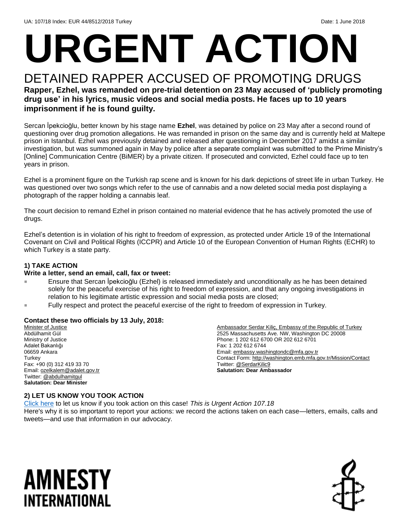# **URGENT ACTION**

#### DETAINED RAPPER ACCUSED OF PROMOTING DRUGS **Rapper, Ezhel, was remanded on pre-trial detention on 23 May accused of 'publicly promoting drug use' in his lyrics, music videos and social media posts. He faces up to 10 years imprisonment if he is found guilty.**

Sercan İpekcioğlu, better known by his stage name **Ezhel**, was detained by police on 23 May after a second round of questioning over drug promotion allegations. He was remanded in prison on the same day and is currently held at Maltepe prison in Istanbul. Ezhel was previously detained and released after questioning in December 2017 amidst a similar investigation, but was summoned again in May by police after a separate complaint was submitted to the Prime Ministry's [Online] Communication Centre (BiMER) by a private citizen. If prosecuted and convicted, Ezhel could face up to ten years in prison.

Ezhel is a prominent figure on the Turkish rap scene and is known for his dark depictions of street life in urban Turkey. He was questioned over two songs which refer to the use of cannabis and a now deleted social media post displaying a photograph of the rapper holding a cannabis leaf.

The court decision to remand Ezhel in prison contained no material evidence that he has actively promoted the use of drugs.

Ezhel's detention is in violation of his right to freedom of expression, as protected under Article 19 of the International Covenant on Civil and Political Rights (ICCPR) and Article 10 of the European Convention of Human Rights (ECHR) to which Turkey is a state party.

#### **1) TAKE ACTION**

#### **Write a letter, send an email, call, fax or tweet:**

- Ensure that Sercan İpekcioğlu (Ezhel) is released immediately and unconditionally as he has been detained solely for the peaceful exercise of his right to freedom of expression, and that any ongoing investigations in relation to his legitimate artistic expression and social media posts are closed;
- Fully respect and protect the peaceful exercise of the right to freedom of expression in Turkey.

#### **Contact these two officials by 13 July, 2018:**

Minister of Justice Abdülhamit Gül Ministry of Justice Adalet Bakanlığı 06659 Ankara **Turkey** Fax: +90 (0) 312 419 33 70 Email[: ozelkalem@adalet.gov.tr](mailto:ozelkalem@adalet.gov.tr) Twitter: [@abdulhamitgul](https://twitter.com/abdulhamitgul?ref_src=twsrc%5Egoogle%7Ctwcamp%5Eserp%7Ctwgr%5Eauthor) **Salutation: Dear Minister**

Ambassador Serdar Kiliç, Embassy of the Republic of Turkey 2525 Massachusetts Ave. NW, Washington DC 20008 Phone: 1 202 612 6700 OR 202 612 6701 Fax: 1 202 612 6744 Email[: embassy.washingtondc@mfa.gov.tr](mailto:embassy.washingtondc@mfa.gov.tr) Contact Form:<http://washington.emb.mfa.gov.tr/Mission/Contact> Twitter[: @SerdarKilic9](https://twitter.com/serdarkilic9?lang=en) **Salutation: Dear Ambassador**

#### **2) LET US KNOW YOU TOOK ACTION**

[Click here](https://www.amnestyusa.org/report-urgent-actions/) to let us know if you took action on this case! *This is Urgent Action 107.18* Here's why it is so important to report your actions: we record the actions taken on each case—letters, emails, calls and tweets—and use that information in our advocacy.